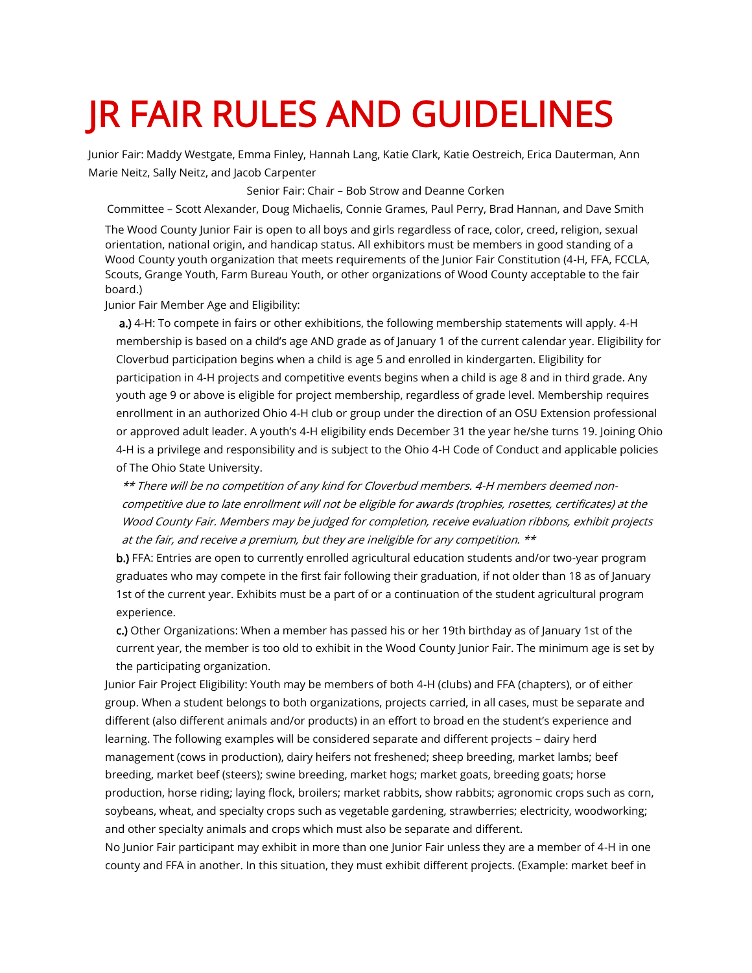## JR FAIR RULES AND GUIDELINES

Junior Fair: Maddy Westgate, Emma Finley, Hannah Lang, Katie Clark, Katie Oestreich, Erica Dauterman, Ann Marie Neitz, Sally Neitz, and Jacob Carpenter

Senior Fair: Chair – Bob Strow and Deanne Corken

Committee – Scott Alexander, Doug Michaelis, Connie Grames, Paul Perry, Brad Hannan, and Dave Smith

The Wood County Junior Fair is open to all boys and girls regardless of race, color, creed, religion, sexual orientation, national origin, and handicap status. All exhibitors must be members in good standing of a Wood County youth organization that meets requirements of the Junior Fair Constitution (4-H, FFA, FCCLA, Scouts, Grange Youth, Farm Bureau Youth, or other organizations of Wood County acceptable to the fair board.)

Junior Fair Member Age and Eligibility:

a.) 4-H: To compete in fairs or other exhibitions, the following membership statements will apply. 4-H membership is based on a child's age AND grade as of January 1 of the current calendar year. Eligibility for Cloverbud participation begins when a child is age 5 and enrolled in kindergarten. Eligibility for participation in 4-H projects and competitive events begins when a child is age 8 and in third grade. Any youth age 9 or above is eligible for project membership, regardless of grade level. Membership requires enrollment in an authorized Ohio 4-H club or group under the direction of an OSU Extension professional or approved adult leader. A youth's 4-H eligibility ends December 31 the year he/she turns 19. Joining Ohio 4-H is a privilege and responsibility and is subject to the Ohio 4-H Code of Conduct and applicable policies of The Ohio State University.

\*\* There will be no competition of any kind for Cloverbud members. 4-H members deemed noncompetitive due to late enrollment will not be eligible for awards (trophies, rosettes, certificates) at the Wood County Fair. Members may be judged for completion, receive evaluation ribbons, exhibit projects at the fair, and receive a premium, but they are ineligible for any competition. \*\*

b.) FFA: Entries are open to currently enrolled agricultural education students and/or two-year program graduates who may compete in the first fair following their graduation, if not older than 18 as of January 1st of the current year. Exhibits must be a part of or a continuation of the student agricultural program experience.

c.) Other Organizations: When a member has passed his or her 19th birthday as of January 1st of the current year, the member is too old to exhibit in the Wood County Junior Fair. The minimum age is set by the participating organization.

Junior Fair Project Eligibility: Youth may be members of both 4-H (clubs) and FFA (chapters), or of either group. When a student belongs to both organizations, projects carried, in all cases, must be separate and different (also different animals and/or products) in an effort to broad en the student's experience and learning. The following examples will be considered separate and different projects – dairy herd management (cows in production), dairy heifers not freshened; sheep breeding, market lambs; beef breeding, market beef (steers); swine breeding, market hogs; market goats, breeding goats; horse production, horse riding; laying flock, broilers; market rabbits, show rabbits; agronomic crops such as corn, soybeans, wheat, and specialty crops such as vegetable gardening, strawberries; electricity, woodworking; and other specialty animals and crops which must also be separate and different.

No Junior Fair participant may exhibit in more than one Junior Fair unless they are a member of 4-H in one county and FFA in another. In this situation, they must exhibit different projects. (Example: market beef in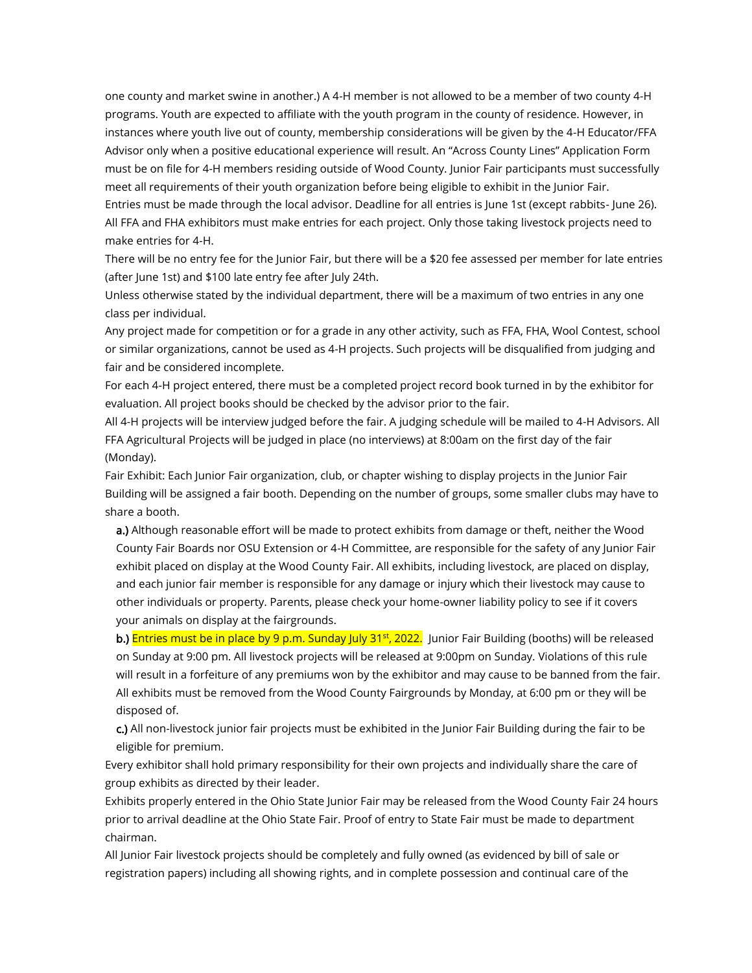one county and market swine in another.) A 4-H member is not allowed to be a member of two county 4-H programs. Youth are expected to affiliate with the youth program in the county of residence. However, in instances where youth live out of county, membership considerations will be given by the 4-H Educator/FFA Advisor only when a positive educational experience will result. An "Across County Lines" Application Form must be on file for 4-H members residing outside of Wood County. Junior Fair participants must successfully meet all requirements of their youth organization before being eligible to exhibit in the Junior Fair. Entries must be made through the local advisor. Deadline for all entries is June 1st (except rabbits- June 26). All FFA and FHA exhibitors must make entries for each project. Only those taking livestock projects need to

make entries for 4-H.

There will be no entry fee for the Junior Fair, but there will be a \$20 fee assessed per member for late entries (after June 1st) and \$100 late entry fee after July 24th.

Unless otherwise stated by the individual department, there will be a maximum of two entries in any one class per individual.

Any project made for competition or for a grade in any other activity, such as FFA, FHA, Wool Contest, school or similar organizations, cannot be used as 4-H projects. Such projects will be disqualified from judging and fair and be considered incomplete.

For each 4-H project entered, there must be a completed project record book turned in by the exhibitor for evaluation. All project books should be checked by the advisor prior to the fair.

All 4-H projects will be interview judged before the fair. A judging schedule will be mailed to 4-H Advisors. All FFA Agricultural Projects will be judged in place (no interviews) at 8:00am on the first day of the fair (Monday).

Fair Exhibit: Each Junior Fair organization, club, or chapter wishing to display projects in the Junior Fair Building will be assigned a fair booth. Depending on the number of groups, some smaller clubs may have to share a booth.

a.) Although reasonable effort will be made to protect exhibits from damage or theft, neither the Wood County Fair Boards nor OSU Extension or 4-H Committee, are responsible for the safety of any Junior Fair exhibit placed on display at the Wood County Fair. All exhibits, including livestock, are placed on display, and each junior fair member is responsible for any damage or injury which their livestock may cause to other individuals or property. Parents, please check your home-owner liability policy to see if it covers your animals on display at the fairgrounds.

b.) Entries must be in place by 9 p.m. Sunday July 31<sup>st</sup>, 2022. Junior Fair Building (booths) will be released on Sunday at 9:00 pm. All livestock projects will be released at 9:00pm on Sunday. Violations of this rule will result in a forfeiture of any premiums won by the exhibitor and may cause to be banned from the fair. All exhibits must be removed from the Wood County Fairgrounds by Monday, at 6:00 pm or they will be disposed of.

c.) All non-livestock junior fair projects must be exhibited in the Junior Fair Building during the fair to be eligible for premium.

Every exhibitor shall hold primary responsibility for their own projects and individually share the care of group exhibits as directed by their leader.

Exhibits properly entered in the Ohio State Junior Fair may be released from the Wood County Fair 24 hours prior to arrival deadline at the Ohio State Fair. Proof of entry to State Fair must be made to department chairman.

All Junior Fair livestock projects should be completely and fully owned (as evidenced by bill of sale or registration papers) including all showing rights, and in complete possession and continual care of the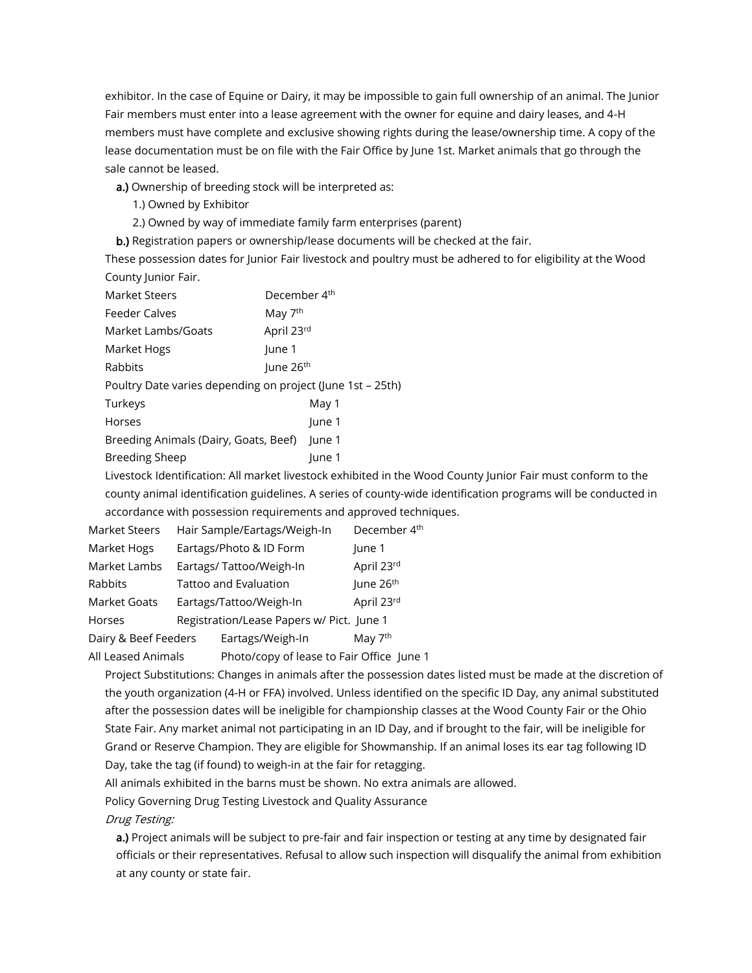exhibitor. In the case of Equine or Dairy, it may be impossible to gain full ownership of an animal. The Junior Fair members must enter into a lease agreement with the owner for equine and dairy leases, and 4-H members must have complete and exclusive showing rights during the lease/ownership time. A copy of the lease documentation must be on file with the Fair Office by June 1st. Market animals that go through the sale cannot be leased.

a.) Ownership of breeding stock will be interpreted as:

- 1.) Owned by Exhibitor
- 2.) Owned by way of immediate family farm enterprises (parent)

b.) Registration papers or ownership/lease documents will be checked at the fair.

These possession dates for Junior Fair livestock and poultry must be adhered to for eligibility at the Wood County Junior Fair.

| <b>Market Steers</b>                                       | December 4 <sup>th</sup> |  |  |  |
|------------------------------------------------------------|--------------------------|--|--|--|
| <b>Feeder Calves</b>                                       | May 7 <sup>th</sup>      |  |  |  |
| Market Lambs/Goats                                         | April 23rd               |  |  |  |
| Market Hogs                                                | lune 1                   |  |  |  |
| Rabbits                                                    | June 26 <sup>th</sup>    |  |  |  |
| Poultry Date varies depending on project (June 1st – 25th) |                          |  |  |  |
| Turkeys                                                    | May 1                    |  |  |  |
| Horses                                                     | June 1                   |  |  |  |
| Breeding Animals (Dairy, Goats, Beef)                      | June 1                   |  |  |  |
| <b>Breeding Sheep</b>                                      | lune 1                   |  |  |  |

Livestock Identification: All market livestock exhibited in the Wood County Junior Fair must conform to the county animal identification guidelines. A series of county-wide identification programs will be conducted in accordance with possession requirements and approved techniques.

| <b>Market Steers</b>                                            | Hair Sample/Eartags/Weigh-In              |                  | December 4 <sup>th</sup> |
|-----------------------------------------------------------------|-------------------------------------------|------------------|--------------------------|
| Market Hogs                                                     | Eartags/Photo & ID Form                   |                  | June 1                   |
| Market Lambs                                                    | Eartags/ Tattoo/Weigh-In                  |                  | April 23rd               |
| Rabbits                                                         | <b>Tattoo and Evaluation</b>              |                  | June 26th                |
| Market Goats                                                    | Eartags/Tattoo/Weigh-In                   |                  | April 23rd               |
| Horses                                                          | Registration/Lease Papers w/ Pict. June 1 |                  |                          |
| Dairy & Beef Feeders                                            |                                           | Eartags/Weigh-In | May 7 <sup>th</sup>      |
| All Leased Animals<br>Photo/copy of lease to Fair Office June 1 |                                           |                  |                          |

Project Substitutions: Changes in animals after the possession dates listed must be made at the discretion of the youth organization (4-H or FFA) involved. Unless identified on the specific ID Day, any animal substituted after the possession dates will be ineligible for championship classes at the Wood County Fair or the Ohio State Fair. Any market animal not participating in an ID Day, and if brought to the fair, will be ineligible for Grand or Reserve Champion. They are eligible for Showmanship. If an animal loses its ear tag following ID Day, take the tag (if found) to weigh-in at the fair for retagging.

All animals exhibited in the barns must be shown. No extra animals are allowed.

Policy Governing Drug Testing Livestock and Quality Assurance

Drug Testing:

a.) Project animals will be subject to pre-fair and fair inspection or testing at any time by designated fair officials or their representatives. Refusal to allow such inspection will disqualify the animal from exhibition at any county or state fair.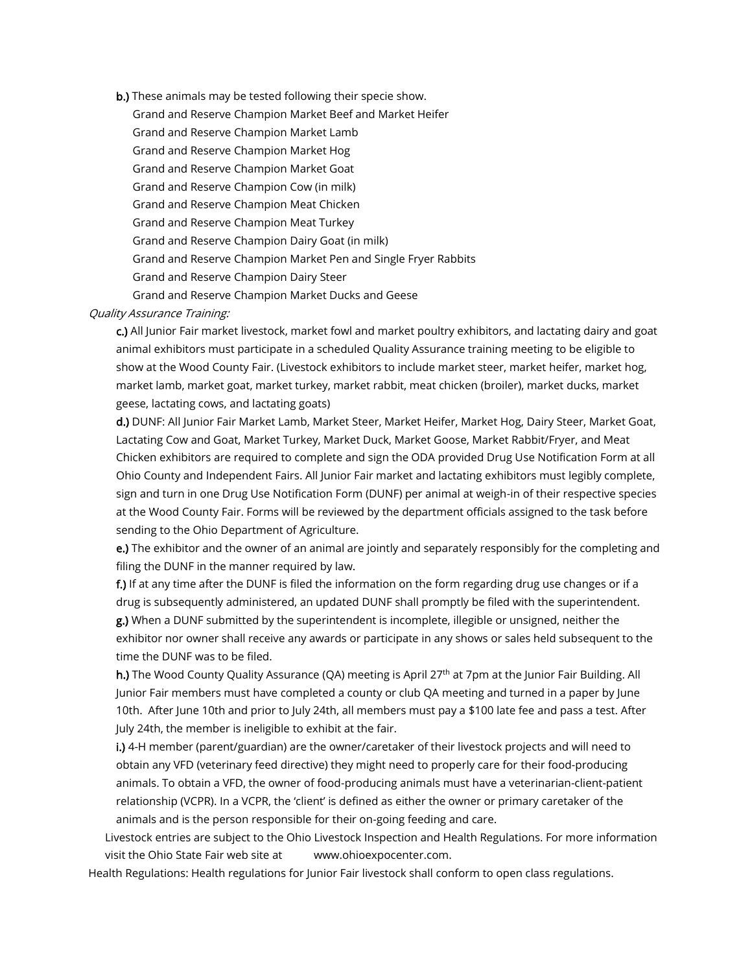b.) These animals may be tested following their specie show. Grand and Reserve Champion Market Beef and Market Heifer Grand and Reserve Champion Market Lamb Grand and Reserve Champion Market Hog Grand and Reserve Champion Market Goat Grand and Reserve Champion Cow (in milk) Grand and Reserve Champion Meat Chicken Grand and Reserve Champion Meat Turkey Grand and Reserve Champion Dairy Goat (in milk) Grand and Reserve Champion Market Pen and Single Fryer Rabbits Grand and Reserve Champion Dairy Steer Grand and Reserve Champion Market Ducks and Geese

## Quality Assurance Training:

c.) All Junior Fair market livestock, market fowl and market poultry exhibitors, and lactating dairy and goat animal exhibitors must participate in a scheduled Quality Assurance training meeting to be eligible to show at the Wood County Fair. (Livestock exhibitors to include market steer, market heifer, market hog, market lamb, market goat, market turkey, market rabbit, meat chicken (broiler), market ducks, market geese, lactating cows, and lactating goats)

d.) DUNF: All Junior Fair Market Lamb, Market Steer, Market Heifer, Market Hog, Dairy Steer, Market Goat, Lactating Cow and Goat, Market Turkey, Market Duck, Market Goose, Market Rabbit/Fryer, and Meat Chicken exhibitors are required to complete and sign the ODA provided Drug Use Notification Form at all Ohio County and Independent Fairs. All Junior Fair market and lactating exhibitors must legibly complete, sign and turn in one Drug Use Notification Form (DUNF) per animal at weigh-in of their respective species at the Wood County Fair. Forms will be reviewed by the department officials assigned to the task before sending to the Ohio Department of Agriculture.

e.) The exhibitor and the owner of an animal are jointly and separately responsibly for the completing and filing the DUNF in the manner required by law.

f.) If at any time after the DUNF is filed the information on the form regarding drug use changes or if a drug is subsequently administered, an updated DUNF shall promptly be filed with the superintendent. g.) When a DUNF submitted by the superintendent is incomplete, illegible or unsigned, neither the exhibitor nor owner shall receive any awards or participate in any shows or sales held subsequent to the

time the DUNF was to be filed.

h.) The Wood County Quality Assurance (QA) meeting is April 27<sup>th</sup> at 7pm at the Junior Fair Building. All Junior Fair members must have completed a county or club QA meeting and turned in a paper by June 10th. After June 10th and prior to July 24th, all members must pay a \$100 late fee and pass a test. After July 24th, the member is ineligible to exhibit at the fair.

i.) 4-H member (parent/guardian) are the owner/caretaker of their livestock projects and will need to obtain any VFD (veterinary feed directive) they might need to properly care for their food-producing animals. To obtain a VFD, the owner of food-producing animals must have a veterinarian-client-patient relationship (VCPR). In a VCPR, the 'client' is defined as either the owner or primary caretaker of the animals and is the person responsible for their on-going feeding and care.

Livestock entries are subject to the Ohio Livestock Inspection and Health Regulations. For more information visit the Ohio State Fair web site at www.ohioexpocenter.com.

Health Regulations: Health regulations for Junior Fair livestock shall conform to open class regulations.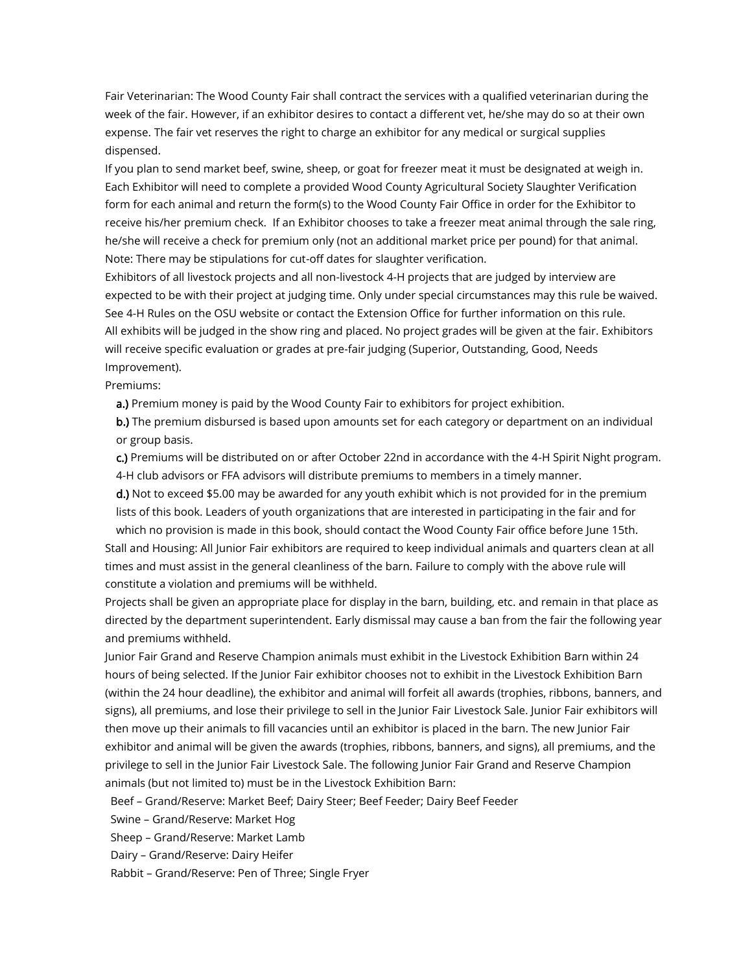Fair Veterinarian: The Wood County Fair shall contract the services with a qualified veterinarian during the week of the fair. However, if an exhibitor desires to contact a different vet, he/she may do so at their own expense. The fair vet reserves the right to charge an exhibitor for any medical or surgical supplies dispensed.

If you plan to send market beef, swine, sheep, or goat for freezer meat it must be designated at weigh in. Each Exhibitor will need to complete a provided Wood County Agricultural Society Slaughter Verification form for each animal and return the form(s) to the Wood County Fair Office in order for the Exhibitor to receive his/her premium check. If an Exhibitor chooses to take a freezer meat animal through the sale ring, he/she will receive a check for premium only (not an additional market price per pound) for that animal. Note: There may be stipulations for cut-off dates for slaughter verification.

Exhibitors of all livestock projects and all non-livestock 4-H projects that are judged by interview are expected to be with their project at judging time. Only under special circumstances may this rule be waived. See 4-H Rules on the OSU website or contact the Extension Office for further information on this rule. All exhibits will be judged in the show ring and placed. No project grades will be given at the fair. Exhibitors will receive specific evaluation or grades at pre-fair judging (Superior, Outstanding, Good, Needs Improvement).

Premiums:

a.) Premium money is paid by the Wood County Fair to exhibitors for project exhibition.

b.) The premium disbursed is based upon amounts set for each category or department on an individual or group basis.

c.) Premiums will be distributed on or after October 22nd in accordance with the 4-H Spirit Night program. 4-H club advisors or FFA advisors will distribute premiums to members in a timely manner.

d.) Not to exceed \$5.00 may be awarded for any youth exhibit which is not provided for in the premium lists of this book. Leaders of youth organizations that are interested in participating in the fair and for

which no provision is made in this book, should contact the Wood County Fair office before June 15th. Stall and Housing: All Junior Fair exhibitors are required to keep individual animals and quarters clean at all times and must assist in the general cleanliness of the barn. Failure to comply with the above rule will constitute a violation and premiums will be withheld.

Projects shall be given an appropriate place for display in the barn, building, etc. and remain in that place as directed by the department superintendent. Early dismissal may cause a ban from the fair the following year and premiums withheld.

Junior Fair Grand and Reserve Champion animals must exhibit in the Livestock Exhibition Barn within 24 hours of being selected. If the Junior Fair exhibitor chooses not to exhibit in the Livestock Exhibition Barn (within the 24 hour deadline), the exhibitor and animal will forfeit all awards (trophies, ribbons, banners, and signs), all premiums, and lose their privilege to sell in the Junior Fair Livestock Sale. Junior Fair exhibitors will then move up their animals to fill vacancies until an exhibitor is placed in the barn. The new Junior Fair exhibitor and animal will be given the awards (trophies, ribbons, banners, and signs), all premiums, and the privilege to sell in the Junior Fair Livestock Sale. The following Junior Fair Grand and Reserve Champion animals (but not limited to) must be in the Livestock Exhibition Barn:

Beef – Grand/Reserve: Market Beef; Dairy Steer; Beef Feeder; Dairy Beef Feeder

Swine – Grand/Reserve: Market Hog

Sheep – Grand/Reserve: Market Lamb

Dairy – Grand/Reserve: Dairy Heifer

Rabbit – Grand/Reserve: Pen of Three; Single Fryer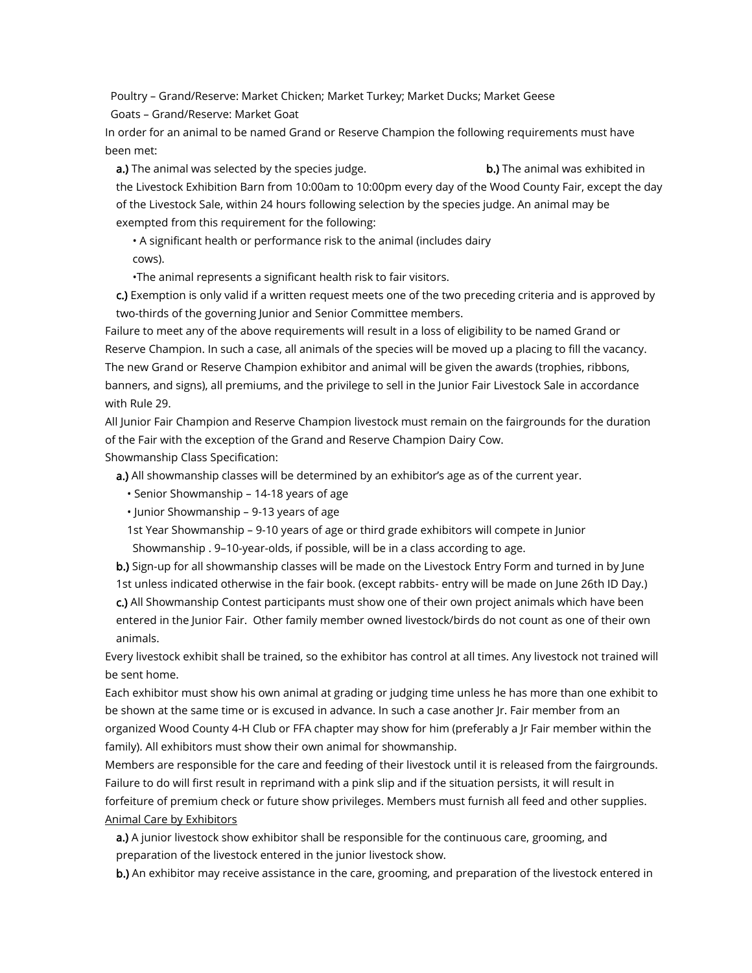Poultry – Grand/Reserve: Market Chicken; Market Turkey; Market Ducks; Market Geese Goats – Grand/Reserve: Market Goat

In order for an animal to be named Grand or Reserve Champion the following requirements must have been met:

**a.**) The animal was selected by the species judge. **b.**) The animal was exhibited in the Livestock Exhibition Barn from 10:00am to 10:00pm every day of the Wood County Fair, except the day of the Livestock Sale, within 24 hours following selection by the species judge. An animal may be exempted from this requirement for the following:

• A significant health or performance risk to the animal (includes dairy cows).

•The animal represents a significant health risk to fair visitors.

c.) Exemption is only valid if a written request meets one of the two preceding criteria and is approved by two-thirds of the governing Junior and Senior Committee members.

Failure to meet any of the above requirements will result in a loss of eligibility to be named Grand or Reserve Champion. In such a case, all animals of the species will be moved up a placing to fill the vacancy. The new Grand or Reserve Champion exhibitor and animal will be given the awards (trophies, ribbons, banners, and signs), all premiums, and the privilege to sell in the Junior Fair Livestock Sale in accordance with Rule 29.

All Junior Fair Champion and Reserve Champion livestock must remain on the fairgrounds for the duration of the Fair with the exception of the Grand and Reserve Champion Dairy Cow. Showmanship Class Specification:

a.) All showmanship classes will be determined by an exhibitor's age as of the current year.

• Senior Showmanship – 14-18 years of age

• Junior Showmanship – 9-13 years of age

1st Year Showmanship – 9-10 years of age or third grade exhibitors will compete in Junior Showmanship . 9–10-year-olds, if possible, will be in a class according to age.

b.) Sign-up for all showmanship classes will be made on the Livestock Entry Form and turned in by June 1st unless indicated otherwise in the fair book. (except rabbits- entry will be made on June 26th ID Day.) c.) All Showmanship Contest participants must show one of their own project animals which have been entered in the Junior Fair. Other family member owned livestock/birds do not count as one of their own animals.

Every livestock exhibit shall be trained, so the exhibitor has control at all times. Any livestock not trained will be sent home.

Each exhibitor must show his own animal at grading or judging time unless he has more than one exhibit to be shown at the same time or is excused in advance. In such a case another Jr. Fair member from an organized Wood County 4-H Club or FFA chapter may show for him (preferably a Jr Fair member within the family). All exhibitors must show their own animal for showmanship.

Members are responsible for the care and feeding of their livestock until it is released from the fairgrounds. Failure to do will first result in reprimand with a pink slip and if the situation persists, it will result in forfeiture of premium check or future show privileges. Members must furnish all feed and other supplies. Animal Care by Exhibitors

a.) A junior livestock show exhibitor shall be responsible for the continuous care, grooming, and preparation of the livestock entered in the junior livestock show.

b.) An exhibitor may receive assistance in the care, grooming, and preparation of the livestock entered in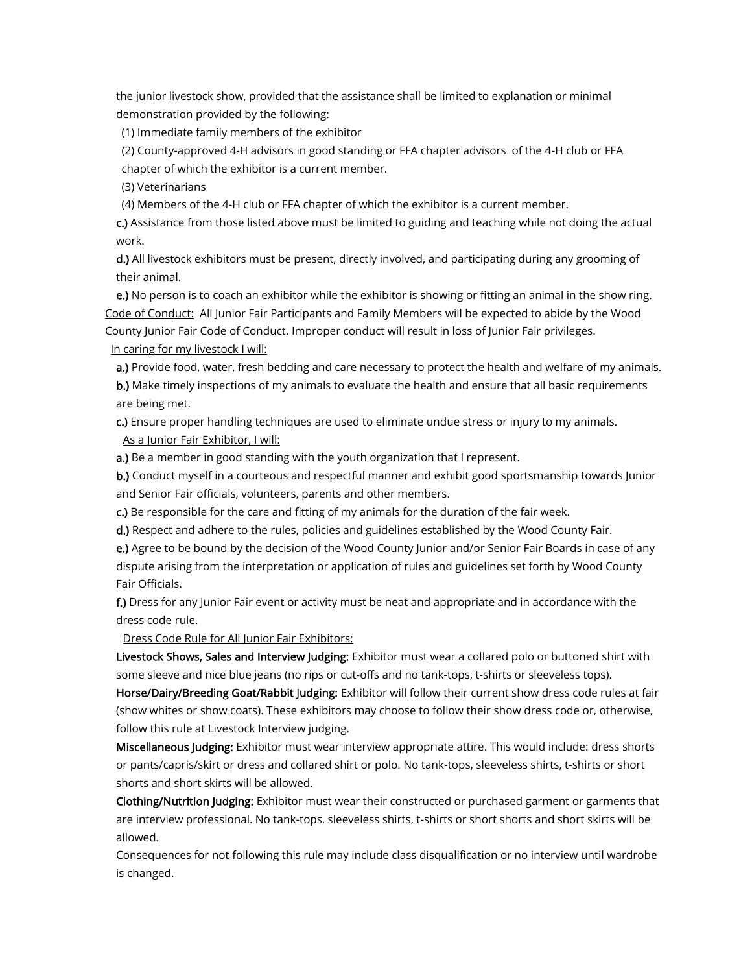the junior livestock show, provided that the assistance shall be limited to explanation or minimal demonstration provided by the following:

(1) Immediate family members of the exhibitor

(2) County-approved 4-H advisors in good standing or FFA chapter advisors of the 4-H club or FFA chapter of which the exhibitor is a current member.

(3) Veterinarians

(4) Members of the 4-H club or FFA chapter of which the exhibitor is a current member.

c.) Assistance from those listed above must be limited to guiding and teaching while not doing the actual work.

d.) All livestock exhibitors must be present, directly involved, and participating during any grooming of their animal.

e.) No person is to coach an exhibitor while the exhibitor is showing or fitting an animal in the show ring. Code of Conduct: All Junior Fair Participants and Family Members will be expected to abide by the Wood County Junior Fair Code of Conduct. Improper conduct will result in loss of Junior Fair privileges.

In caring for my livestock I will:

a.) Provide food, water, fresh bedding and care necessary to protect the health and welfare of my animals.

b.) Make timely inspections of my animals to evaluate the health and ensure that all basic requirements are being met.

c.) Ensure proper handling techniques are used to eliminate undue stress or injury to my animals. As a Junior Fair Exhibitor, I will:

a.) Be a member in good standing with the youth organization that I represent.

b.) Conduct myself in a courteous and respectful manner and exhibit good sportsmanship towards Junior and Senior Fair officials, volunteers, parents and other members.

c.) Be responsible for the care and fitting of my animals for the duration of the fair week.

d.) Respect and adhere to the rules, policies and guidelines established by the Wood County Fair.

e.) Agree to be bound by the decision of the Wood County Junior and/or Senior Fair Boards in case of any dispute arising from the interpretation or application of rules and guidelines set forth by Wood County Fair Officials.

f.) Dress for any Junior Fair event or activity must be neat and appropriate and in accordance with the dress code rule.

Dress Code Rule for All Junior Fair Exhibitors:

Livestock Shows, Sales and Interview Judging: Exhibitor must wear a collared polo or buttoned shirt with some sleeve and nice blue jeans (no rips or cut-offs and no tank-tops, t-shirts or sleeveless tops).

Horse/Dairy/Breeding Goat/Rabbit Judging: Exhibitor will follow their current show dress code rules at fair (show whites or show coats). These exhibitors may choose to follow their show dress code or, otherwise, follow this rule at Livestock Interview judging.

Miscellaneous Judging: Exhibitor must wear interview appropriate attire. This would include: dress shorts or pants/capris/skirt or dress and collared shirt or polo. No tank-tops, sleeveless shirts, t-shirts or short shorts and short skirts will be allowed.

Clothing/Nutrition Judging: Exhibitor must wear their constructed or purchased garment or garments that are interview professional. No tank-tops, sleeveless shirts, t-shirts or short shorts and short skirts will be allowed.

Consequences for not following this rule may include class disqualification or no interview until wardrobe is changed.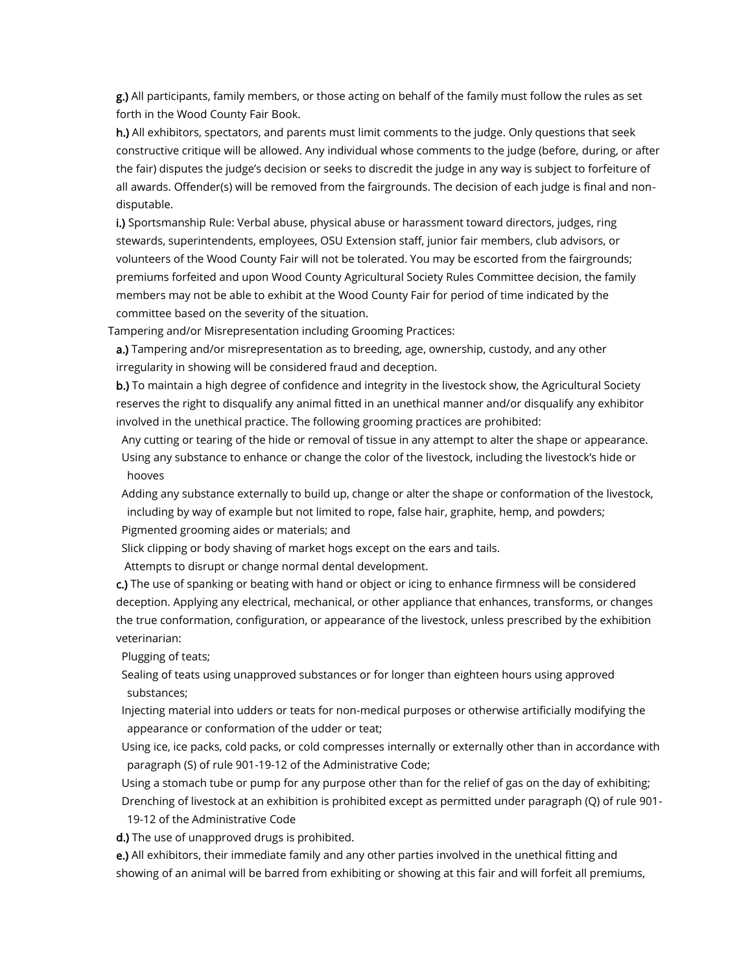g.) All participants, family members, or those acting on behalf of the family must follow the rules as set forth in the Wood County Fair Book.

h.) All exhibitors, spectators, and parents must limit comments to the judge. Only questions that seek constructive critique will be allowed. Any individual whose comments to the judge (before, during, or after the fair) disputes the judge's decision or seeks to discredit the judge in any way is subject to forfeiture of all awards. Offender(s) will be removed from the fairgrounds. The decision of each judge is final and nondisputable.

i.) Sportsmanship Rule: Verbal abuse, physical abuse or harassment toward directors, judges, ring stewards, superintendents, employees, OSU Extension staff, junior fair members, club advisors, or volunteers of the Wood County Fair will not be tolerated. You may be escorted from the fairgrounds; premiums forfeited and upon Wood County Agricultural Society Rules Committee decision, the family members may not be able to exhibit at the Wood County Fair for period of time indicated by the committee based on the severity of the situation.

Tampering and/or Misrepresentation including Grooming Practices:

a.) Tampering and/or misrepresentation as to breeding, age, ownership, custody, and any other irregularity in showing will be considered fraud and deception.

b.) To maintain a high degree of confidence and integrity in the livestock show, the Agricultural Society reserves the right to disqualify any animal fitted in an unethical manner and/or disqualify any exhibitor involved in the unethical practice. The following grooming practices are prohibited:

Any cutting or tearing of the hide or removal of tissue in any attempt to alter the shape or appearance. Using any substance to enhance or change the color of the livestock, including the livestock's hide or hooves

Adding any substance externally to build up, change or alter the shape or conformation of the livestock, including by way of example but not limited to rope, false hair, graphite, hemp, and powders;

Pigmented grooming aides or materials; and

Slick clipping or body shaving of market hogs except on the ears and tails.

Attempts to disrupt or change normal dental development.

c.) The use of spanking or beating with hand or object or icing to enhance firmness will be considered deception. Applying any electrical, mechanical, or other appliance that enhances, transforms, or changes the true conformation, configuration, or appearance of the livestock, unless prescribed by the exhibition veterinarian:

Plugging of teats;

Sealing of teats using unapproved substances or for longer than eighteen hours using approved substances;

Injecting material into udders or teats for non-medical purposes or otherwise artificially modifying the appearance or conformation of the udder or teat;

Using ice, ice packs, cold packs, or cold compresses internally or externally other than in accordance with paragraph (S) of rule 901-19-12 of the Administrative Code;

Using a stomach tube or pump for any purpose other than for the relief of gas on the day of exhibiting; Drenching of livestock at an exhibition is prohibited except as permitted under paragraph (Q) of rule 901- 19-12 of the Administrative Code

d.) The use of unapproved drugs is prohibited.

e.) All exhibitors, their immediate family and any other parties involved in the unethical fitting and showing of an animal will be barred from exhibiting or showing at this fair and will forfeit all premiums,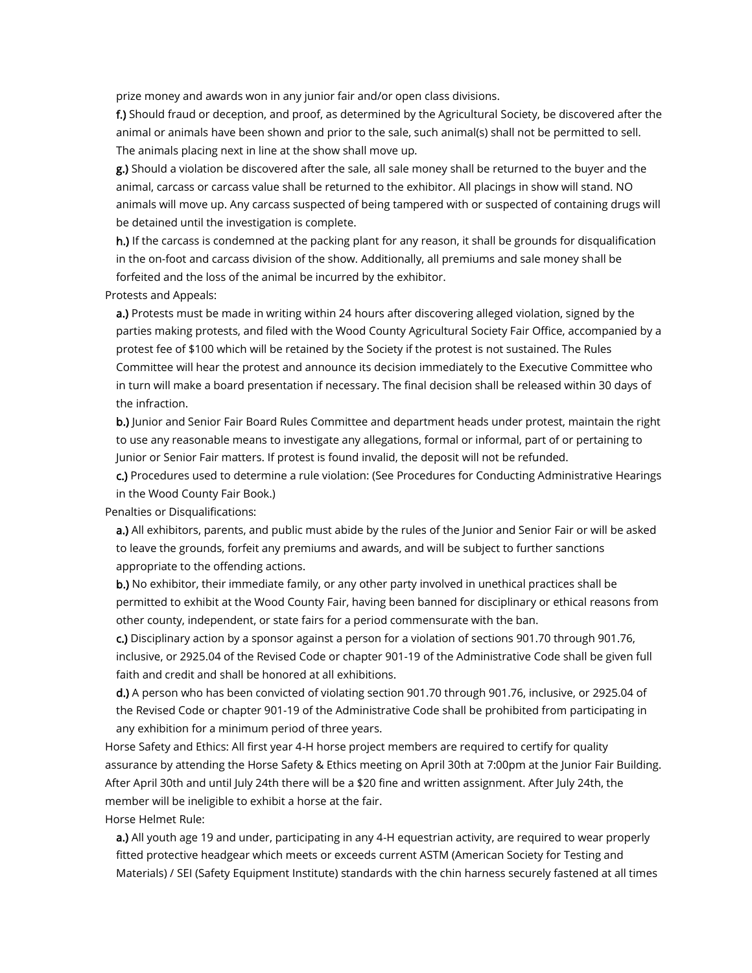prize money and awards won in any junior fair and/or open class divisions.

f.) Should fraud or deception, and proof, as determined by the Agricultural Society, be discovered after the animal or animals have been shown and prior to the sale, such animal(s) shall not be permitted to sell. The animals placing next in line at the show shall move up.

g.) Should a violation be discovered after the sale, all sale money shall be returned to the buyer and the animal, carcass or carcass value shall be returned to the exhibitor. All placings in show will stand. NO animals will move up. Any carcass suspected of being tampered with or suspected of containing drugs will be detained until the investigation is complete.

h.) If the carcass is condemned at the packing plant for any reason, it shall be grounds for disqualification in the on-foot and carcass division of the show. Additionally, all premiums and sale money shall be forfeited and the loss of the animal be incurred by the exhibitor.

Protests and Appeals:

a.) Protests must be made in writing within 24 hours after discovering alleged violation, signed by the parties making protests, and filed with the Wood County Agricultural Society Fair Office, accompanied by a protest fee of \$100 which will be retained by the Society if the protest is not sustained. The Rules Committee will hear the protest and announce its decision immediately to the Executive Committee who in turn will make a board presentation if necessary. The final decision shall be released within 30 days of the infraction.

b.) Junior and Senior Fair Board Rules Committee and department heads under protest, maintain the right to use any reasonable means to investigate any allegations, formal or informal, part of or pertaining to Junior or Senior Fair matters. If protest is found invalid, the deposit will not be refunded.

c.) Procedures used to determine a rule violation: (See Procedures for Conducting Administrative Hearings in the Wood County Fair Book.)

Penalties or Disqualifications:

a.) All exhibitors, parents, and public must abide by the rules of the Junior and Senior Fair or will be asked to leave the grounds, forfeit any premiums and awards, and will be subject to further sanctions appropriate to the offending actions.

b.) No exhibitor, their immediate family, or any other party involved in unethical practices shall be permitted to exhibit at the Wood County Fair, having been banned for disciplinary or ethical reasons from other county, independent, or state fairs for a period commensurate with the ban.

c.) Disciplinary action by a sponsor against a person for a violation of sections 901.70 through 901.76, inclusive, or 2925.04 of the Revised Code or chapter 901-19 of the Administrative Code shall be given full faith and credit and shall be honored at all exhibitions.

d.) A person who has been convicted of violating section 901.70 through 901.76, inclusive, or 2925.04 of the Revised Code or chapter 901-19 of the Administrative Code shall be prohibited from participating in any exhibition for a minimum period of three years.

Horse Safety and Ethics: All first year 4-H horse project members are required to certify for quality assurance by attending the Horse Safety & Ethics meeting on April 30th at 7:00pm at the Junior Fair Building. After April 30th and until July 24th there will be a \$20 fine and written assignment. After July 24th, the member will be ineligible to exhibit a horse at the fair.

Horse Helmet Rule:

a.) All youth age 19 and under, participating in any 4-H equestrian activity, are required to wear properly fitted protective headgear which meets or exceeds current ASTM (American Society for Testing and Materials) / SEI (Safety Equipment Institute) standards with the chin harness securely fastened at all times